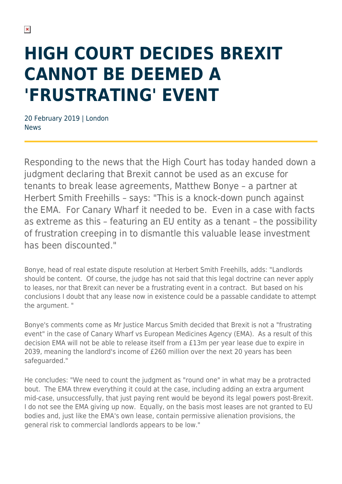# **HIGH COURT DECIDES BREXIT CANNOT BE DEEMED A 'FRUSTRATING' EVENT**

20 February 2019 | London News

Responding to the news that the High Court has today handed down a judgment declaring that Brexit cannot be used as an excuse for tenants to break lease agreements, Matthew Bonye – a partner at Herbert Smith Freehills – says: "This is a knock-down punch against the EMA. For Canary Wharf it needed to be. Even in a case with facts as extreme as this – featuring an EU entity as a tenant – the possibility of frustration creeping in to dismantle this valuable lease investment has been discounted."

Bonye, head of real estate dispute resolution at Herbert Smith Freehills, adds: "Landlords should be content. Of course, the judge has not said that this legal doctrine can never apply to leases, nor that Brexit can never be a frustrating event in a contract. But based on his conclusions I doubt that any lease now in existence could be a passable candidate to attempt the argument. "

Bonye's comments come as Mr Justice Marcus Smith decided that Brexit is not a "frustrating event" in the case of Canary Wharf vs European Medicines Agency (EMA). As a result of this decision EMA will not be able to release itself from a £13m per year lease due to expire in 2039, meaning the landlord's income of £260 million over the next 20 years has been safeguarded."

He concludes: "We need to count the judgment as "round one" in what may be a protracted bout. The EMA threw everything it could at the case, including adding an extra argument mid-case, unsuccessfully, that just paying rent would be beyond its legal powers post-Brexit. I do not see the EMA giving up now. Equally, on the basis most leases are not granted to EU bodies and, just like the EMA's own lease, contain permissive alienation provisions, the general risk to commercial landlords appears to be low."